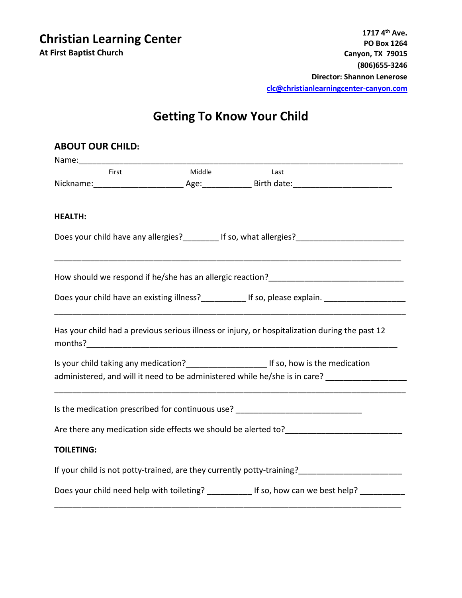**Christian Learning Center At First Baptist Church**

## **Getting To Know Your Child**

| <b>ABOUT OUR CHILD:</b>                                                                         |        |                                                                                                                                                                                         |
|-------------------------------------------------------------------------------------------------|--------|-----------------------------------------------------------------------------------------------------------------------------------------------------------------------------------------|
| Name: Name:                                                                                     |        |                                                                                                                                                                                         |
| First                                                                                           | Middle | Last                                                                                                                                                                                    |
|                                                                                                 |        |                                                                                                                                                                                         |
| <b>HEALTH:</b>                                                                                  |        |                                                                                                                                                                                         |
|                                                                                                 |        | Does your child have any allergies?__________ If so, what allergies?________________________________                                                                                    |
|                                                                                                 |        |                                                                                                                                                                                         |
|                                                                                                 |        | Does your child have an existing illness?______________ If so, please explain. _____________________                                                                                    |
|                                                                                                 |        | Has your child had a previous serious illness or injury, or hospitalization during the past 12                                                                                          |
|                                                                                                 |        | Is your child taking any medication?___________________________If so, how is the medication<br>administered, and will it need to be administered while he/she is in care?               |
|                                                                                                 |        | Is the medication prescribed for continuous use? _______________________________                                                                                                        |
|                                                                                                 |        |                                                                                                                                                                                         |
| <b>TOILETING:</b>                                                                               |        |                                                                                                                                                                                         |
|                                                                                                 |        | If your child is not potty-trained, are they currently potty-training?<br>The management of the management of the management of the management of the management of the management of t |
| Does your child need help with toileting? ____________ If so, how can we best help? ___________ |        |                                                                                                                                                                                         |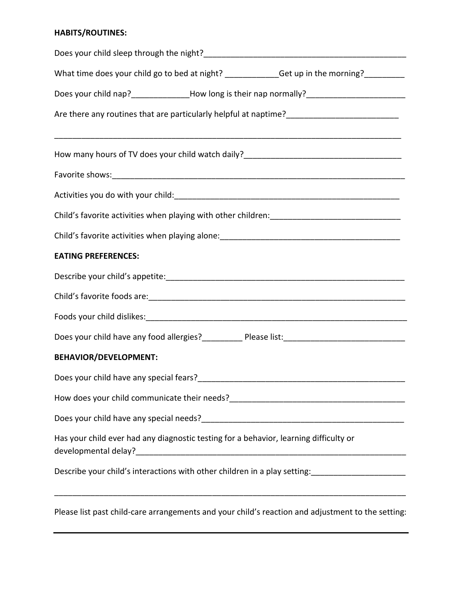## **HABITS/ROUTINES:**

| What time does your child go to bed at night? ___________Get up in the morning?________                         |  |  |  |  |
|-----------------------------------------------------------------------------------------------------------------|--|--|--|--|
| Does your child nap?________________How long is their nap normally?________________________________             |  |  |  |  |
| Are there any routines that are particularly helpful at naptime?___________________________________             |  |  |  |  |
| How many hours of TV does your child watch daily?________________________________                               |  |  |  |  |
|                                                                                                                 |  |  |  |  |
|                                                                                                                 |  |  |  |  |
|                                                                                                                 |  |  |  |  |
|                                                                                                                 |  |  |  |  |
| <b>EATING PREFERENCES:</b>                                                                                      |  |  |  |  |
|                                                                                                                 |  |  |  |  |
|                                                                                                                 |  |  |  |  |
|                                                                                                                 |  |  |  |  |
| Does your child have any food allergies?____________ Please list:___________________________________            |  |  |  |  |
| <b>BEHAVIOR/DEVELOPMENT:</b>                                                                                    |  |  |  |  |
|                                                                                                                 |  |  |  |  |
|                                                                                                                 |  |  |  |  |
|                                                                                                                 |  |  |  |  |
| Has your child ever had any diagnostic testing for a behavior, learning difficulty or                           |  |  |  |  |
| Describe your child's interactions with other children in a play setting: [100] [100] [100] [100] [100] [100] [ |  |  |  |  |
| Please list nast child-care arrangements and your child's reaction and adjustment to the setting                |  |  |  |  |

Please list past child-care arrangements and your child's reaction and adjustment to the setting: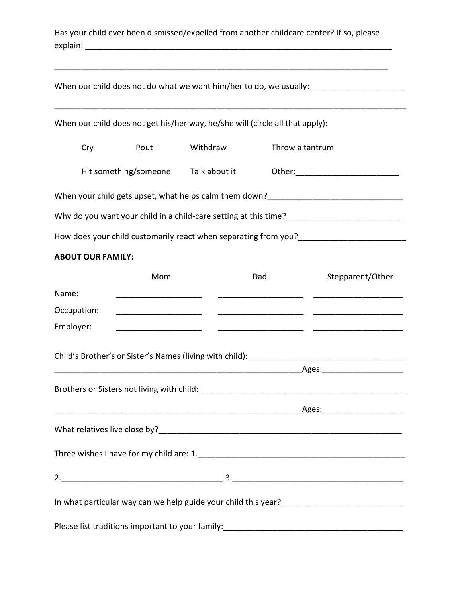|          | Has your child ever been dismissed/expelled from another childcare center? If so, please |  |  |
|----------|------------------------------------------------------------------------------------------|--|--|
| explain: |                                                                                          |  |  |

|                          | When our child does not get his/her way, he/she will (circle all that apply): |          |                 |                                                             |
|--------------------------|-------------------------------------------------------------------------------|----------|-----------------|-------------------------------------------------------------|
| Cry                      | Pout                                                                          | Withdraw | Throw a tantrum |                                                             |
|                          | Hit something/someone Talk about it                                           |          |                 |                                                             |
|                          |                                                                               |          |                 |                                                             |
|                          |                                                                               |          |                 |                                                             |
|                          |                                                                               |          |                 |                                                             |
| <b>ABOUT OUR FAMILY:</b> |                                                                               |          |                 |                                                             |
|                          | Mom                                                                           |          | Dad             | Stepparent/Other                                            |
| Name:                    |                                                                               |          |                 |                                                             |
| Occupation:              |                                                                               |          |                 | <u> 1980 - Jan James James, fransk politik (d. 1980)</u>    |
| Employer:                |                                                                               |          |                 | <u> 1999 - Jan James James, francuski politik (f. 1989)</u> |
|                          |                                                                               |          |                 |                                                             |
|                          |                                                                               |          |                 |                                                             |
|                          |                                                                               |          |                 |                                                             |
|                          |                                                                               |          |                 |                                                             |
|                          |                                                                               |          |                 |                                                             |
|                          |                                                                               |          |                 |                                                             |
|                          |                                                                               |          |                 |                                                             |
|                          |                                                                               |          |                 |                                                             |
|                          |                                                                               |          |                 |                                                             |